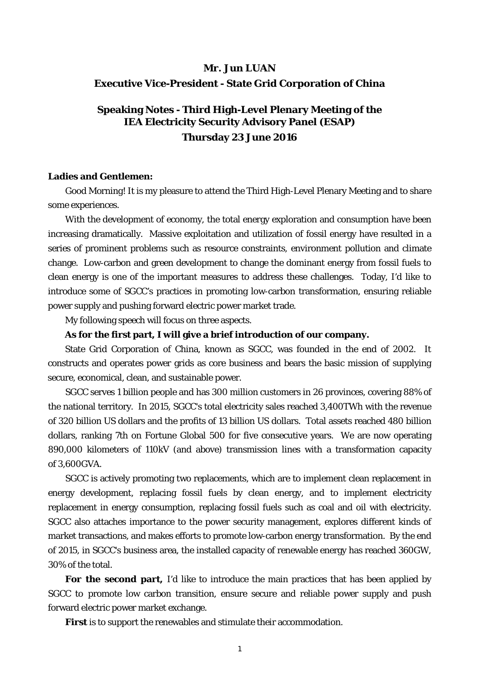# **Mr. Jun LUAN Executive Vice-President - State Grid Corporation of China**

# **Speaking Notes - Third High-Level Plenary Meeting of the IEA Electricity Security Advisory Panel (ESAP) Thursday 23 June 2016**

#### **Ladies and Gentlemen:**

Good Morning! It is my pleasure to attend the Third High-Level Plenary Meeting and to share some experiences.

With the development of economy, the total energy exploration and consumption have been increasing dramatically. Massive exploitation and utilization of fossil energy have resulted in a series of prominent problems such as resource constraints, environment pollution and climate change. Low-carbon and green development to change the dominant energy from fossil fuels to clean energy is one of the important measures to address these challenges. Today, I'd like to introduce some of SGCC's practices in promoting low-carbon transformation, ensuring reliable power supply and pushing forward electric power market trade.

My following speech will focus on three aspects.

## **As for the first part, I will give a brief introduction of our company.**

State Grid Corporation of China, known as SGCC, was founded in the end of 2002. It constructs and operates power grids as core business and bears the basic mission of supplying secure, economical, clean, and sustainable power.

SGCC serves 1 billion people and has 300 million customers in 26 provinces, covering 88% of the national territory. In 2015, SGCC's total electricity sales reached 3,400TWh with the revenue of 320 billion US dollars and the profits of 13 billion US dollars. Total assets reached 480 billion dollars, ranking 7th on Fortune Global 500 for five consecutive years. We are now operating 890,000 kilometers of 110kV (and above) transmission lines with a transformation capacity of 3,600GVA.

SGCC is actively promoting two replacements, which are to implement clean replacement in energy development, replacing fossil fuels by clean energy, and to implement electricity replacement in energy consumption, replacing fossil fuels such as coal and oil with electricity. SGCC also attaches importance to the power security management, explores different kinds of market transactions, and makes efforts to promote low-carbon energy transformation. By the end of 2015, in SGCC's business area, the installed capacity of renewable energy has reached 360GW, 30% of the total.

**For the second part,** I'd like to introduce the main practices that has been applied by SGCC to promote low carbon transition, ensure secure and reliable power supply and push forward electric power market exchange.

**First** is to support the renewables and stimulate their accommodation.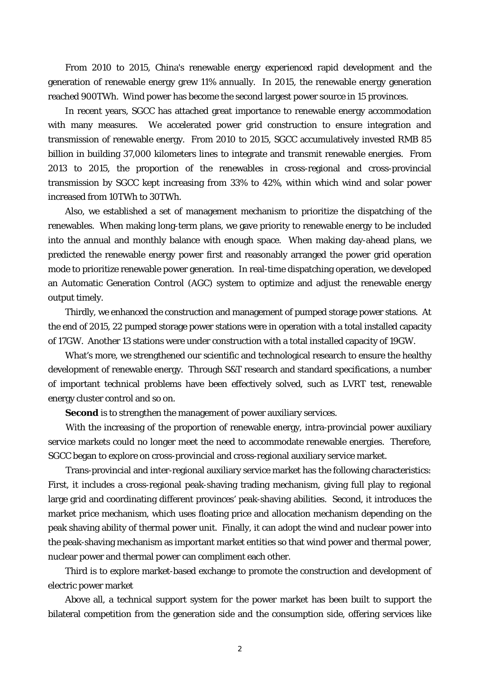From 2010 to 2015, China's renewable energy experienced rapid development and the generation of renewable energy grew 11% annually. In 2015, the renewable energy generation reached 900TWh. Wind power has become the second largest power source in 15 provinces.

In recent years, SGCC has attached great importance to renewable energy accommodation with many measures. We accelerated power grid construction to ensure integration and transmission of renewable energy. From 2010 to 2015, SGCC accumulatively invested RMB 85 billion in building 37,000 kilometers lines to integrate and transmit renewable energies. From 2013 to 2015, the proportion of the renewables in cross-regional and cross-provincial transmission by SGCC kept increasing from 33% to 42%, within which wind and solar power increased from 10TWh to 30TWh.

Also, we established a set of management mechanism to prioritize the dispatching of the renewables. When making long-term plans, we gave priority to renewable energy to be included into the annual and monthly balance with enough space. When making day-ahead plans, we predicted the renewable energy power first and reasonably arranged the power grid operation mode to prioritize renewable power generation. In real-time dispatching operation, we developed an Automatic Generation Control (AGC) system to optimize and adjust the renewable energy output timely.

Thirdly, we enhanced the construction and management of pumped storage power stations. At the end of 2015, 22 pumped storage power stations were in operation with a total installed capacity of 17GW. Another 13 stations were under construction with a total installed capacity of 19GW.

What's more, we strengthened our scientific and technological research to ensure the healthy development of renewable energy. Through S&T research and standard specifications, a number of important technical problems have been effectively solved, such as LVRT test, renewable energy cluster control and so on.

**Second** is to strengthen the management of power auxiliary services.

With the increasing of the proportion of renewable energy, intra-provincial power auxiliary service markets could no longer meet the need to accommodate renewable energies. Therefore, SGCC began to explore on cross-provincial and cross-regional auxiliary service market.

Trans-provincial and inter-regional auxiliary service market has the following characteristics: First, it includes a cross-regional peak-shaving trading mechanism, giving full play to regional large grid and coordinating different provinces' peak-shaving abilities. Second, it introduces the market price mechanism, which uses floating price and allocation mechanism depending on the peak shaving ability of thermal power unit. Finally, it can adopt the wind and nuclear power into the peak-shaving mechanism as important market entities so that wind power and thermal power, nuclear power and thermal power can compliment each other.

Third is to explore market-based exchange to promote the construction and development of electric power market

Above all, a technical support system for the power market has been built to support the bilateral competition from the generation side and the consumption side, offering services like